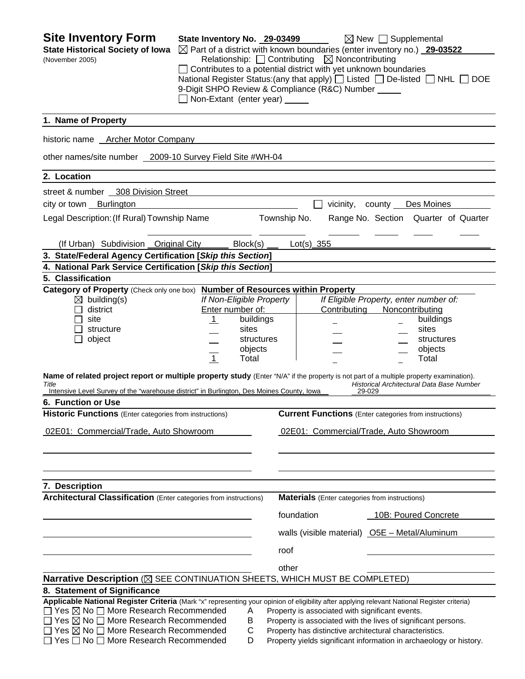| <b>Site Inventory Form</b><br><b>State Historical Society of Iowa</b><br>(November 2005)                                                                                                                                                      | State Inventory No. 29-03499 |                               |              | $\boxtimes$ Part of a district with known boundaries (enter inventory no.) 29-03522<br>Relationship: $\Box$ Contributing $\boxtimes$ Noncontributing<br>Contributes to a potential district with yet unknown boundaries | $\boxtimes$ New $\Box$ Supplemental                 |                                      |
|-----------------------------------------------------------------------------------------------------------------------------------------------------------------------------------------------------------------------------------------------|------------------------------|-------------------------------|--------------|-------------------------------------------------------------------------------------------------------------------------------------------------------------------------------------------------------------------------|-----------------------------------------------------|--------------------------------------|
| National Register Status: (any that apply) $\Box$ Listed $\Box$ De-listed $\Box$ NHL $\Box$ DOE<br>9-Digit SHPO Review & Compliance (R&C) Number ____<br>Non-Extant (enter year) _____                                                        |                              |                               |              |                                                                                                                                                                                                                         |                                                     |                                      |
| 1. Name of Property                                                                                                                                                                                                                           |                              |                               |              |                                                                                                                                                                                                                         |                                                     |                                      |
| historic name Archer Motor Company                                                                                                                                                                                                            |                              |                               |              |                                                                                                                                                                                                                         |                                                     |                                      |
| other names/site number 2009-10 Survey Field Site #WH-04                                                                                                                                                                                      |                              |                               |              |                                                                                                                                                                                                                         |                                                     |                                      |
| 2. Location                                                                                                                                                                                                                                   |                              |                               |              |                                                                                                                                                                                                                         |                                                     |                                      |
| street & number 308 Division Street                                                                                                                                                                                                           |                              |                               |              |                                                                                                                                                                                                                         |                                                     |                                      |
| city or town Burlington                                                                                                                                                                                                                       |                              |                               |              |                                                                                                                                                                                                                         | vicinity, county Des Moines                         |                                      |
| Legal Description: (If Rural) Township Name                                                                                                                                                                                                   |                              |                               | Township No. |                                                                                                                                                                                                                         |                                                     | Range No. Section Quarter of Quarter |
| (If Urban) Subdivision Original City                                                                                                                                                                                                          |                              | Block(s)                      |              | Lot(s) $355$                                                                                                                                                                                                            |                                                     |                                      |
| 3. State/Federal Agency Certification [Skip this Section]                                                                                                                                                                                     |                              |                               |              |                                                                                                                                                                                                                         |                                                     |                                      |
| 4. National Park Service Certification [Skip this Section]                                                                                                                                                                                    |                              |                               |              |                                                                                                                                                                                                                         |                                                     |                                      |
| 5. Classification                                                                                                                                                                                                                             |                              |                               |              |                                                                                                                                                                                                                         |                                                     |                                      |
| Category of Property (Check only one box) Number of Resources within Property                                                                                                                                                                 |                              |                               |              |                                                                                                                                                                                                                         |                                                     |                                      |
| $\boxtimes$ building(s)                                                                                                                                                                                                                       |                              | If Non-Eligible Property      |              |                                                                                                                                                                                                                         | If Eligible Property, enter number of:              |                                      |
| district<br>site                                                                                                                                                                                                                              | $\perp$                      | Enter number of:<br>buildings |              | Contributing                                                                                                                                                                                                            | Noncontributing                                     | buildings                            |
| structure                                                                                                                                                                                                                                     |                              | sites                         |              |                                                                                                                                                                                                                         |                                                     | sites                                |
| object                                                                                                                                                                                                                                        |                              | structures                    |              |                                                                                                                                                                                                                         |                                                     | structures                           |
|                                                                                                                                                                                                                                               |                              | objects                       |              |                                                                                                                                                                                                                         |                                                     | objects                              |
|                                                                                                                                                                                                                                               | $\overline{1}$               | Total                         |              |                                                                                                                                                                                                                         |                                                     | Total                                |
| Name of related project report or multiple property study (Enter "N/A" if the property is not part of a multiple property examination).<br>Title<br>Intensive Level Survey of the "warehouse district" in Burlington, Des Moines County, Iowa |                              |                               |              |                                                                                                                                                                                                                         | Historical Architectural Data Base Number<br>29-029 |                                      |
| 6. Function or Use                                                                                                                                                                                                                            |                              |                               |              |                                                                                                                                                                                                                         |                                                     |                                      |
| <b>Historic Functions</b> (Enter categories from instructions)                                                                                                                                                                                |                              |                               |              | <b>Current Functions</b> (Enter categories from instructions)                                                                                                                                                           |                                                     |                                      |
| 02E01: Commercial/Trade, Auto Showroom                                                                                                                                                                                                        |                              |                               |              | 02E01: Commercial/Trade, Auto Showroom                                                                                                                                                                                  |                                                     |                                      |
|                                                                                                                                                                                                                                               |                              |                               |              |                                                                                                                                                                                                                         |                                                     |                                      |
|                                                                                                                                                                                                                                               |                              |                               |              |                                                                                                                                                                                                                         |                                                     |                                      |
| 7. Description<br><b>Architectural Classification</b> (Enter categories from instructions)                                                                                                                                                    |                              |                               |              |                                                                                                                                                                                                                         |                                                     |                                      |
|                                                                                                                                                                                                                                               |                              |                               |              | <b>Materials</b> (Enter categories from instructions)                                                                                                                                                                   |                                                     |                                      |
|                                                                                                                                                                                                                                               |                              |                               |              | foundation                                                                                                                                                                                                              | 10B: Poured Concrete                                |                                      |
|                                                                                                                                                                                                                                               |                              |                               |              | walls (visible material) O5E - Metal/Aluminum                                                                                                                                                                           |                                                     |                                      |
|                                                                                                                                                                                                                                               |                              |                               | roof         |                                                                                                                                                                                                                         |                                                     |                                      |
|                                                                                                                                                                                                                                               |                              |                               | other        |                                                                                                                                                                                                                         |                                                     |                                      |
| Narrative Description (X SEE CONTINUATION SHEETS, WHICH MUST BE COMPLETED)                                                                                                                                                                    |                              |                               |              |                                                                                                                                                                                                                         |                                                     |                                      |
| 8. Statement of Significance                                                                                                                                                                                                                  |                              |                               |              |                                                                                                                                                                                                                         |                                                     |                                      |
| Applicable National Register Criteria (Mark "x" representing your opinion of eligibility after applying relevant National Register criteria)                                                                                                  |                              |                               |              |                                                                                                                                                                                                                         |                                                     |                                      |
| $\Box$ Yes $\boxtimes$ No $\Box$ More Research Recommended<br>$\Box$ Yes $\boxtimes$ No $\Box$ More Research Recommended                                                                                                                      |                              | A<br>В                        |              | Property is associated with significant events.<br>Property is associated with the lives of significant persons.                                                                                                        |                                                     |                                      |
| $\Box$ Yes $\boxtimes$ No $\Box$ More Research Recommended                                                                                                                                                                                    |                              | $\mathsf{C}$                  |              | Property has distinctive architectural characteristics.                                                                                                                                                                 |                                                     |                                      |
| Yes □ No □ More Research Recommended                                                                                                                                                                                                          |                              | D                             |              | Property yields significant information in archaeology or history.                                                                                                                                                      |                                                     |                                      |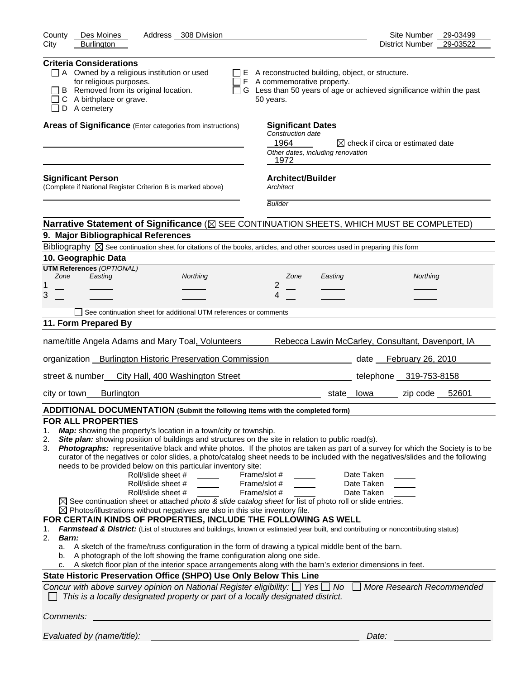| Des Moines<br>County<br>Address 308 Division<br><b>Burlington</b><br>City                                                                                                                                                                                                                                                                                                                                                                                                                                                                                                                                                                                                                                                                                                                                                                                                                                                                                                                                                                                                                                                                                                                                                                                                                                                                                                                                                                                                                                                                                                                                                                                                                                                           | Site Number<br>29-03499<br>District Number 29-03522 |
|-------------------------------------------------------------------------------------------------------------------------------------------------------------------------------------------------------------------------------------------------------------------------------------------------------------------------------------------------------------------------------------------------------------------------------------------------------------------------------------------------------------------------------------------------------------------------------------------------------------------------------------------------------------------------------------------------------------------------------------------------------------------------------------------------------------------------------------------------------------------------------------------------------------------------------------------------------------------------------------------------------------------------------------------------------------------------------------------------------------------------------------------------------------------------------------------------------------------------------------------------------------------------------------------------------------------------------------------------------------------------------------------------------------------------------------------------------------------------------------------------------------------------------------------------------------------------------------------------------------------------------------------------------------------------------------------------------------------------------------|-----------------------------------------------------|
| <b>Criteria Considerations</b><br>$\Box$ A Owned by a religious institution or used<br>E A reconstructed building, object, or structure.<br>for religious purposes.<br>F A commemorative property.<br>B Removed from its original location.<br>G Less than 50 years of age or achieved significance within the past<br>C A birthplace or grave.<br>50 years.<br>D A cemetery                                                                                                                                                                                                                                                                                                                                                                                                                                                                                                                                                                                                                                                                                                                                                                                                                                                                                                                                                                                                                                                                                                                                                                                                                                                                                                                                                        |                                                     |
| Areas of Significance (Enter categories from instructions)<br><b>Significant Dates</b><br>Construction date<br>1964<br>Other dates, including renovation<br>1972                                                                                                                                                                                                                                                                                                                                                                                                                                                                                                                                                                                                                                                                                                                                                                                                                                                                                                                                                                                                                                                                                                                                                                                                                                                                                                                                                                                                                                                                                                                                                                    | $\boxtimes$ check if circa or estimated date        |
| Architect/Builder<br><b>Significant Person</b><br>(Complete if National Register Criterion B is marked above)<br>Architect<br><b>Builder</b>                                                                                                                                                                                                                                                                                                                                                                                                                                                                                                                                                                                                                                                                                                                                                                                                                                                                                                                                                                                                                                                                                                                                                                                                                                                                                                                                                                                                                                                                                                                                                                                        |                                                     |
| Narrative Statement of Significance ( $\boxtimes$ SEE CONTINUATION SHEETS, WHICH MUST BE COMPLETED)                                                                                                                                                                                                                                                                                                                                                                                                                                                                                                                                                                                                                                                                                                                                                                                                                                                                                                                                                                                                                                                                                                                                                                                                                                                                                                                                                                                                                                                                                                                                                                                                                                 |                                                     |
| 9. Major Bibliographical References                                                                                                                                                                                                                                                                                                                                                                                                                                                                                                                                                                                                                                                                                                                                                                                                                                                                                                                                                                                                                                                                                                                                                                                                                                                                                                                                                                                                                                                                                                                                                                                                                                                                                                 |                                                     |
| Bibliography $\boxtimes$ See continuation sheet for citations of the books, articles, and other sources used in preparing this form                                                                                                                                                                                                                                                                                                                                                                                                                                                                                                                                                                                                                                                                                                                                                                                                                                                                                                                                                                                                                                                                                                                                                                                                                                                                                                                                                                                                                                                                                                                                                                                                 |                                                     |
| 10. Geographic Data                                                                                                                                                                                                                                                                                                                                                                                                                                                                                                                                                                                                                                                                                                                                                                                                                                                                                                                                                                                                                                                                                                                                                                                                                                                                                                                                                                                                                                                                                                                                                                                                                                                                                                                 |                                                     |
| <b>UTM References (OPTIONAL)</b>                                                                                                                                                                                                                                                                                                                                                                                                                                                                                                                                                                                                                                                                                                                                                                                                                                                                                                                                                                                                                                                                                                                                                                                                                                                                                                                                                                                                                                                                                                                                                                                                                                                                                                    |                                                     |
| Zone<br>Easting<br>Northing<br>Zone<br>Easting<br>2<br>1                                                                                                                                                                                                                                                                                                                                                                                                                                                                                                                                                                                                                                                                                                                                                                                                                                                                                                                                                                                                                                                                                                                                                                                                                                                                                                                                                                                                                                                                                                                                                                                                                                                                            | Northing                                            |
| 3<br>4                                                                                                                                                                                                                                                                                                                                                                                                                                                                                                                                                                                                                                                                                                                                                                                                                                                                                                                                                                                                                                                                                                                                                                                                                                                                                                                                                                                                                                                                                                                                                                                                                                                                                                                              |                                                     |
|                                                                                                                                                                                                                                                                                                                                                                                                                                                                                                                                                                                                                                                                                                                                                                                                                                                                                                                                                                                                                                                                                                                                                                                                                                                                                                                                                                                                                                                                                                                                                                                                                                                                                                                                     |                                                     |
| See continuation sheet for additional UTM references or comments                                                                                                                                                                                                                                                                                                                                                                                                                                                                                                                                                                                                                                                                                                                                                                                                                                                                                                                                                                                                                                                                                                                                                                                                                                                                                                                                                                                                                                                                                                                                                                                                                                                                    |                                                     |
| 11. Form Prepared By                                                                                                                                                                                                                                                                                                                                                                                                                                                                                                                                                                                                                                                                                                                                                                                                                                                                                                                                                                                                                                                                                                                                                                                                                                                                                                                                                                                                                                                                                                                                                                                                                                                                                                                |                                                     |
| name/title Angela Adams and Mary Toal, Volunteers                                                                                                                                                                                                                                                                                                                                                                                                                                                                                                                                                                                                                                                                                                                                                                                                                                                                                                                                                                                                                                                                                                                                                                                                                                                                                                                                                                                                                                                                                                                                                                                                                                                                                   | Rebecca Lawin McCarley, Consultant, Davenport, IA   |
| organization _Burlington Historic Preservation Commission                                                                                                                                                                                                                                                                                                                                                                                                                                                                                                                                                                                                                                                                                                                                                                                                                                                                                                                                                                                                                                                                                                                                                                                                                                                                                                                                                                                                                                                                                                                                                                                                                                                                           | date February 26, 2010                              |
| street & number_ City Hall, 400 Washington Street                                                                                                                                                                                                                                                                                                                                                                                                                                                                                                                                                                                                                                                                                                                                                                                                                                                                                                                                                                                                                                                                                                                                                                                                                                                                                                                                                                                                                                                                                                                                                                                                                                                                                   | telephone 319-753-8158                              |
| <b>Burlington</b><br>city or town<br>state lowa                                                                                                                                                                                                                                                                                                                                                                                                                                                                                                                                                                                                                                                                                                                                                                                                                                                                                                                                                                                                                                                                                                                                                                                                                                                                                                                                                                                                                                                                                                                                                                                                                                                                                     | zip code 52601                                      |
| ADDITIONAL DOCUMENTATION (Submit the following items with the completed form)                                                                                                                                                                                                                                                                                                                                                                                                                                                                                                                                                                                                                                                                                                                                                                                                                                                                                                                                                                                                                                                                                                                                                                                                                                                                                                                                                                                                                                                                                                                                                                                                                                                       |                                                     |
| FOR ALL PROPERTIES<br>Map: showing the property's location in a town/city or township.<br>1.<br>Site plan: showing position of buildings and structures on the site in relation to public road(s).<br>2.<br>Photographs: representative black and white photos. If the photos are taken as part of a survey for which the Society is to be<br>3.<br>curator of the negatives or color slides, a photo/catalog sheet needs to be included with the negatives/slides and the following<br>needs to be provided below on this particular inventory site:<br>Roll/slide sheet #<br>Frame/slot #<br>Roll/slide sheet #<br>Frame/slot #<br>Frame/slot #<br>Roll/slide sheet #<br>$\boxtimes$ See continuation sheet or attached photo & slide catalog sheet for list of photo roll or slide entries.<br>$\boxtimes$ Photos/illustrations without negatives are also in this site inventory file.<br>FOR CERTAIN KINDS OF PROPERTIES, INCLUDE THE FOLLOWING AS WELL<br>Farmstead & District: (List of structures and buildings, known or estimated year built, and contributing or noncontributing status)<br>1.<br>2.<br><b>Barn:</b><br>a. A sketch of the frame/truss configuration in the form of drawing a typical middle bent of the barn.<br>A photograph of the loft showing the frame configuration along one side.<br>b.<br>A sketch floor plan of the interior space arrangements along with the barn's exterior dimensions in feet.<br>c.<br>State Historic Preservation Office (SHPO) Use Only Below This Line<br>Concur with above survey opinion on National Register eligibility: $\Box$ Yes $\Box$ No $\Box$ More Research Recommended<br>This is a locally designated property or part of a locally designated district. | Date Taken<br>Date Taken<br>Date Taken              |
| Comments:                                                                                                                                                                                                                                                                                                                                                                                                                                                                                                                                                                                                                                                                                                                                                                                                                                                                                                                                                                                                                                                                                                                                                                                                                                                                                                                                                                                                                                                                                                                                                                                                                                                                                                                           |                                                     |
| Evaluated by (name/title):                                                                                                                                                                                                                                                                                                                                                                                                                                                                                                                                                                                                                                                                                                                                                                                                                                                                                                                                                                                                                                                                                                                                                                                                                                                                                                                                                                                                                                                                                                                                                                                                                                                                                                          | Date:                                               |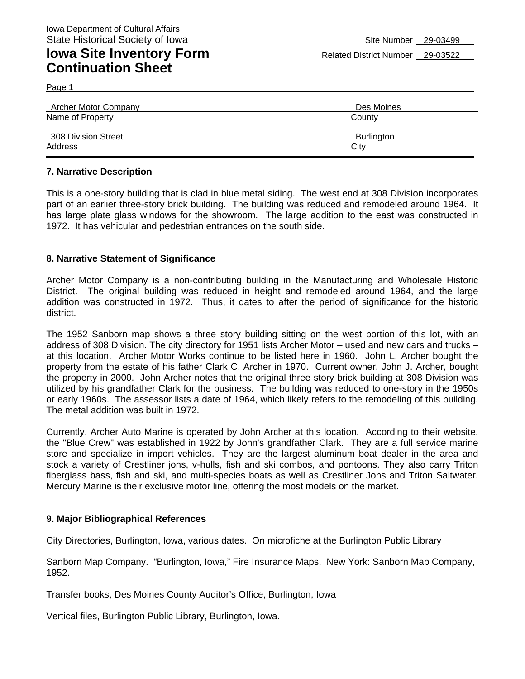## **Iowa Site Inventory Form** Related District Number 29-03522 **Continuation Sheet**

Page 1

| Archer Motor Company | Des Moines        |
|----------------------|-------------------|
| Name of Property     | County            |
| 308 Division Street  | <b>Burlington</b> |
| Address              | City              |

#### **7. Narrative Description**

This is a one-story building that is clad in blue metal siding. The west end at 308 Division incorporates part of an earlier three-story brick building. The building was reduced and remodeled around 1964. It has large plate glass windows for the showroom. The large addition to the east was constructed in 1972. It has vehicular and pedestrian entrances on the south side.

#### **8. Narrative Statement of Significance**

Archer Motor Company is a non-contributing building in the Manufacturing and Wholesale Historic District. The original building was reduced in height and remodeled around 1964, and the large addition was constructed in 1972. Thus, it dates to after the period of significance for the historic district.

The 1952 Sanborn map shows a three story building sitting on the west portion of this lot, with an address of 308 Division. The city directory for 1951 lists Archer Motor – used and new cars and trucks – at this location. Archer Motor Works continue to be listed here in 1960. John L. Archer bought the property from the estate of his father Clark C. Archer in 1970. Current owner, John J. Archer, bought the property in 2000. John Archer notes that the original three story brick building at 308 Division was utilized by his grandfather Clark for the business. The building was reduced to one-story in the 1950s or early 1960s. The assessor lists a date of 1964, which likely refers to the remodeling of this building. The metal addition was built in 1972.

Currently, Archer Auto Marine is operated by John Archer at this location. According to their website, the "Blue Crew" was established in 1922 by John's grandfather Clark. They are a full service marine store and specialize in import vehicles. They are the largest aluminum boat dealer in the area and stock a variety of Crestliner jons, v-hulls, fish and ski combos, and pontoons. They also carry Triton fiberglass bass, fish and ski, and multi-species boats as well as Crestliner Jons and Triton Saltwater. Mercury Marine is their exclusive motor line, offering the most models on the market.

#### **9. Major Bibliographical References**

City Directories, Burlington, Iowa, various dates. On microfiche at the Burlington Public Library

Sanborn Map Company. "Burlington, Iowa," Fire Insurance Maps. New York: Sanborn Map Company, 1952.

Transfer books, Des Moines County Auditor's Office, Burlington, Iowa

Vertical files, Burlington Public Library, Burlington, Iowa.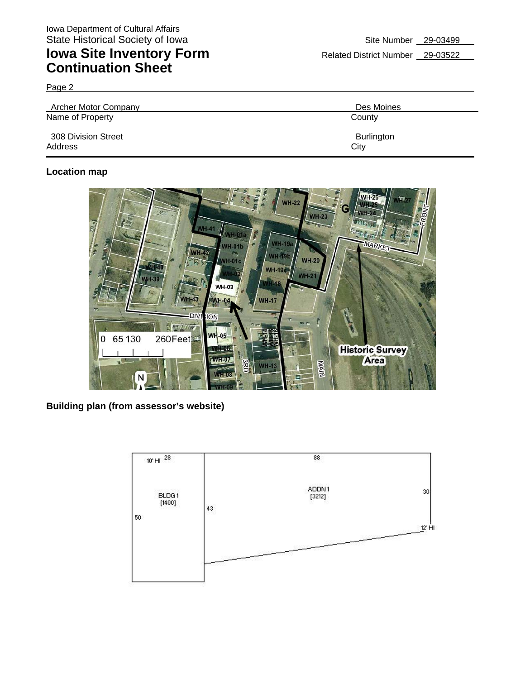# **Iowa Site Inventory Form** Related District Number 29-03522 **Continuation Sheet**

Page 2

| Archer Motor Company | Des Moines        |
|----------------------|-------------------|
| Name of Property     | County            |
| 308 Division Street  | <b>Burlington</b> |
| Address              | City              |

### **Location map**



**Building plan (from assessor's website)**